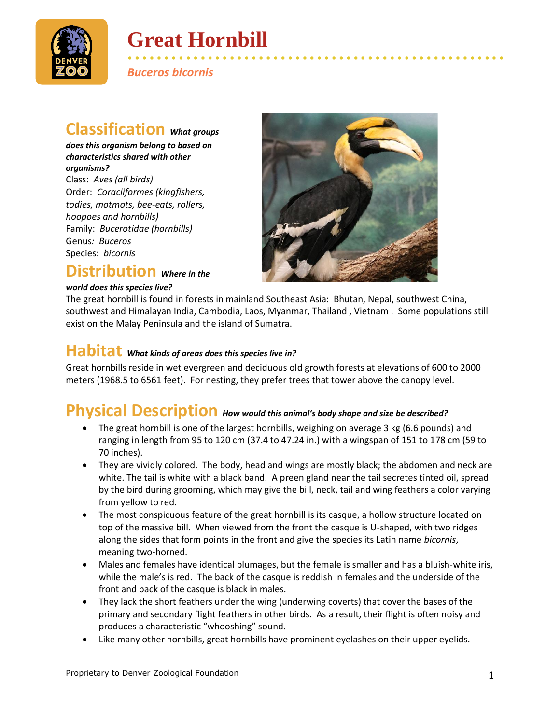

# **Great Hornbill**

• • • • • • • • • • • • • • • • • • • • • • • • • • • • • • • • • • • • • • • • • • • • • • • • • • • • *Buceros bicornis*

#### **Classification** *What groups*

*does this organism belong to based on characteristics shared with other organisms?* Class: *Aves (all birds)* Order: *Coraciiformes (kingfishers, todies, motmots, bee-eats, rollers, hoopoes and hornbills)* Family: *Bucerotidae (hornbills)*

Genus*: Buceros* Species: *bicornis*

#### **Distribution** *Where in the*

#### *world does this species live?*



The great hornbill is found in forests in mainland Southeast Asia: Bhutan, Nepal, southwest China, southwest and Himalayan India, Cambodia, Laos, Myanmar, Thailand , Vietnam . Some populations still exist on the Malay Peninsula and the island of Sumatra.

#### **Habitat** *What kinds of areas does this species live in?*

Great hornbills reside in wet evergreen and deciduous old growth forests at elevations of 600 to 2000 meters (1968.5 to 6561 feet). For nesting, they prefer trees that tower above the canopy level.

#### **Physical Description** *How would this animal's body shape and size be described?*

- The great hornbill is one of the largest hornbills, weighing on average 3 kg (6.6 pounds) and ranging in length from 95 to 120 cm (37.4 to 47.24 in.) with a wingspan of 151 to 178 cm (59 to 70 inches).
- They are vividly colored. The body, head and wings are mostly black; the abdomen and neck are white. The tail is white with a black band. A preen gland near the tail secretes tinted oil, spread by the bird during grooming, which may give the bill, neck, tail and wing feathers a color varying from yellow to red.
- The most conspicuous feature of the great hornbill is its casque, a hollow structure located on top of the massive bill. When viewed from the front the casque is U-shaped, with two ridges along the sides that form points in the front and give the species its Latin name *bicornis*, meaning two-horned.
- Males and females have identical plumages, but the female is smaller and has a bluish-white iris, while the male's is red. The back of the casque is reddish in females and the underside of the front and back of the casque is black in males.
- They lack the short feathers under the wing (underwing coverts) that cover the bases of the primary and secondary flight feathers in other birds. As a result, their flight is often noisy and produces a characteristic "whooshing" sound.
- Like many other hornbills, great hornbills have prominent eyelashes on their upper eyelids.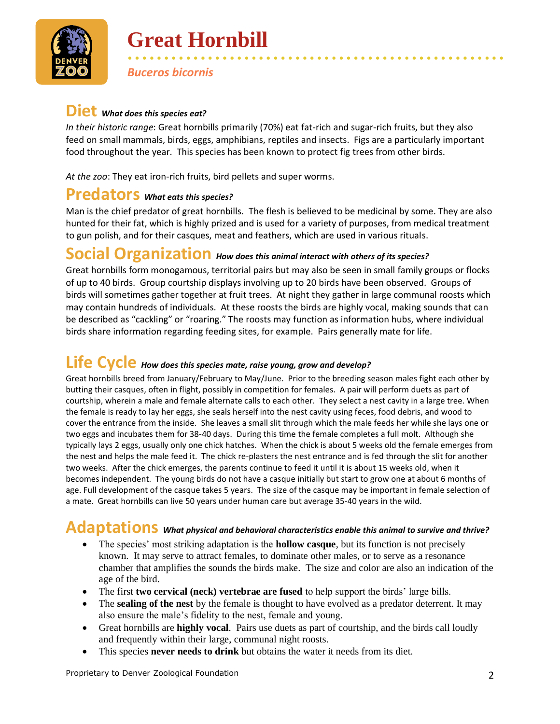

## **Great Hornbill**

*Buceros bicornis*

#### **Diet** *What does this species eat?*

*In their historic range*: Great hornbills primarily (70%) eat fat-rich and sugar-rich fruits, but they also feed on small mammals, birds, eggs, amphibians, reptiles and insects. Figs are a particularly important food throughout the year. This species has been known to protect fig trees from other birds.

• • • • • • • • • • • • • • • • • • • • • • • • • • • • • • • • • • • • • • • • • • • • • • • • • • • •

*At the zoo*: They eat iron-rich fruits, bird pellets and super worms.

#### **Predators** *What eats this species?*

Man is the chief predator of great hornbills. The flesh is believed to be medicinal by some. They are also hunted for their fat, which is highly prized and is used for a variety of purposes, from medical treatment to gun polish, and for their casques, meat and feathers, which are used in various rituals.

### **Social Organization** *How does this animal interact with others of its species?*

Great hornbills form monogamous, territorial pairs but may also be seen in small family groups or flocks of up to 40 birds. Group courtship displays involving up to 20 birds have been observed. Groups of birds will sometimes gather together at fruit trees. At night they gather in large communal roosts which may contain hundreds of individuals. At these roosts the birds are highly vocal, making sounds that can be described as "cackling" or "roaring." The roosts may function as information hubs, where individual birds share information regarding feeding sites, for example. Pairs generally mate for life.

#### **Life Cycle** *How does this species mate, raise young, grow and develop?*

Great hornbills breed from January/February to May/June. Prior to the breeding season males fight each other by butting their casques, often in flight, possibly in competition for females. A pair will perform duets as part of courtship, wherein a male and female alternate calls to each other. They select a nest cavity in a large tree. When the female is ready to lay her eggs, she seals herself into the nest cavity using feces, food debris, and wood to cover the entrance from the inside. She leaves a small slit through which the male feeds her while she lays one or two eggs and incubates them for 38-40 days. During this time the female completes a full molt. Although she typically lays 2 eggs, usually only one chick hatches. When the chick is about 5 weeks old the female emerges from the nest and helps the male feed it. The chick re-plasters the nest entrance and is fed through the slit for another two weeks. After the chick emerges, the parents continue to feed it until it is about 15 weeks old, when it becomes independent. The young birds do not have a casque initially but start to grow one at about 6 months of age. Full development of the casque takes 5 years. The size of the casque may be important in female selection of a mate. Great hornbills can live 50 years under human care but average 35-40 years in the wild.

### **Adaptations** *What physical and behavioral characteristics enable this animal to survive and thrive?*

- The species' most striking adaptation is the **hollow casque**, but its function is not precisely known. It may serve to attract females, to dominate other males, or to serve as a resonance chamber that amplifies the sounds the birds make. The size and color are also an indication of the age of the bird.
- The first **two cervical (neck) vertebrae are fused** to help support the birds' large bills.
- The **sealing of the nest** by the female is thought to have evolved as a predator deterrent. It may also ensure the male's fidelity to the nest, female and young.
- Great hornbills are **highly vocal**. Pairs use duets as part of courtship, and the birds call loudly and frequently within their large, communal night roosts.
- This species **never needs to drink** but obtains the water it needs from its diet.